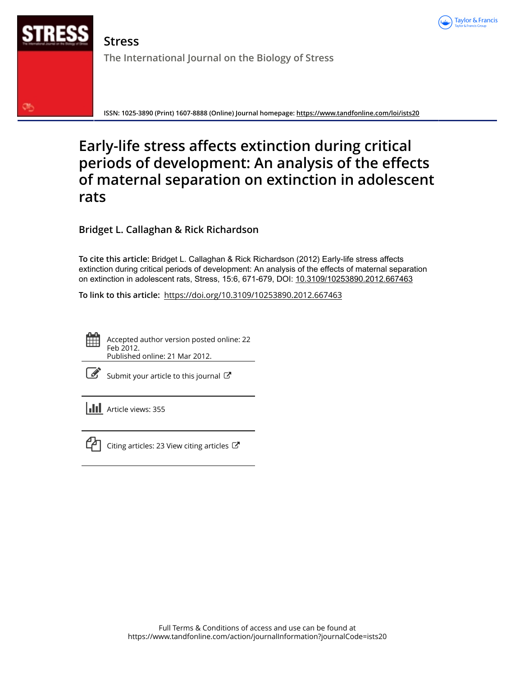

**Stress The International Journal on the Biology of Stress**

**ISSN: 1025-3890 (Print) 1607-8888 (Online) Journal homepage:<https://www.tandfonline.com/loi/ists20>**

# **Early-life stress affects extinction during critical periods of development: An analysis of the effects of maternal separation on extinction in adolescent rats**

**Bridget L. Callaghan & Rick Richardson**

**To cite this article:** Bridget L. Callaghan & Rick Richardson (2012) Early-life stress affects extinction during critical periods of development: An analysis of the effects of maternal separation on extinction in adolescent rats, Stress, 15:6, 671-679, DOI: [10.3109/10253890.2012.667463](https://www.tandfonline.com/action/showCitFormats?doi=10.3109/10253890.2012.667463)

**To link to this article:** <https://doi.org/10.3109/10253890.2012.667463>

Accepted author version posted online: 22 Feb 2012. Published online: 21 Mar 2012.



[Submit your article to this journal](https://www.tandfonline.com/action/authorSubmission?journalCode=ists20&show=instructions)  $\mathbb{Z}$ 

**III** Article views: 355



 $\Box$  [Citing articles: 23 View citing articles](https://www.tandfonline.com/doi/citedby/10.3109/10253890.2012.667463#tabModule)  $\Box$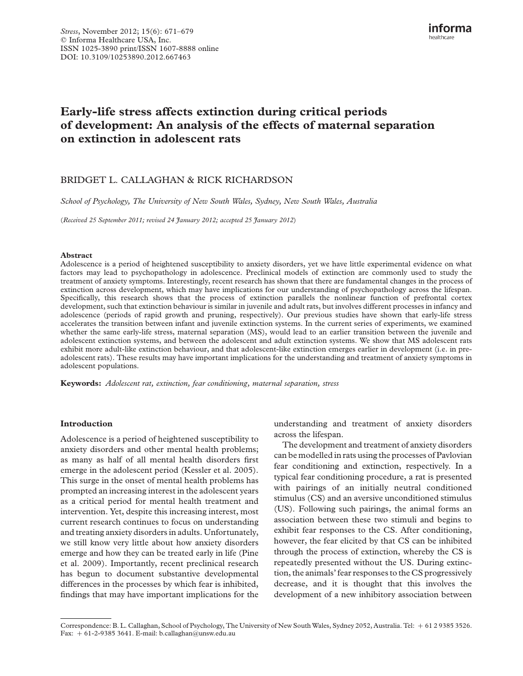# Early-life stress affects extinction during critical periods of development: An analysis of the effects of maternal separation on extinction in adolescent rats

# BRIDGET L. CALLAGHAN & RICK RICHARDSON

School of Psychology, The University of New South Wales, Sydney, New South Wales, Australia

(Received 25 September 2011; revised 24 January 2012; accepted 25 January 2012)

#### Abstract

Adolescence is a period of heightened susceptibility to anxiety disorders, yet we have little experimental evidence on what factors may lead to psychopathology in adolescence. Preclinical models of extinction are commonly used to study the treatment of anxiety symptoms. Interestingly, recent research has shown that there are fundamental changes in the process of extinction across development, which may have implications for our understanding of psychopathology across the lifespan. Specifically, this research shows that the process of extinction parallels the nonlinear function of prefrontal cortex development, such that extinction behaviour is similar in juvenile and adult rats, but involves different processes in infancy and adolescence (periods of rapid growth and pruning, respectively). Our previous studies have shown that early-life stress accelerates the transition between infant and juvenile extinction systems. In the current series of experiments, we examined whether the same early-life stress, maternal separation (MS), would lead to an earlier transition between the juvenile and adolescent extinction systems, and between the adolescent and adult extinction systems. We show that MS adolescent rats exhibit more adult-like extinction behaviour, and that adolescent-like extinction emerges earlier in development (i.e. in preadolescent rats). These results may have important implications for the understanding and treatment of anxiety symptoms in adolescent populations.

Keywords: Adolescent rat, extinction, fear conditioning, maternal separation, stress

### Introduction

Adolescence is a period of heightened susceptibility to anxiety disorders and other mental health problems; as many as half of all mental health disorders first emerge in the adolescent period (Kessler et al. 2005). This surge in the onset of mental health problems has prompted an increasing interest in the adolescent years as a critical period for mental health treatment and intervention. Yet, despite this increasing interest, most current research continues to focus on understanding and treating anxiety disorders in adults. Unfortunately, we still know very little about how anxiety disorders emerge and how they can be treated early in life (Pine et al. 2009). Importantly, recent preclinical research has begun to document substantive developmental differences in the processes by which fear is inhibited, findings that may have important implications for the

understanding and treatment of anxiety disorders across the lifespan.

The development and treatment of anxiety disorders can be modelled in rats using the processes of Pavlovian fear conditioning and extinction, respectively. In a typical fear conditioning procedure, a rat is presented with pairings of an initially neutral conditioned stimulus (CS) and an aversive unconditioned stimulus (US). Following such pairings, the animal forms an association between these two stimuli and begins to exhibit fear responses to the CS. After conditioning, however, the fear elicited by that CS can be inhibited through the process of extinction, whereby the CS is repeatedly presented without the US. During extinction, the animals' fear responses to the CS progressively decrease, and it is thought that this involves the development of a new inhibitory association between

Correspondence: B. L. Callaghan, School of Psychology, The University of New South Wales, Sydney 2052, Australia. Tel: + 61 2 9385 3526. Fax:  $+ 61-2-9385 3641$ . E-mail: b.callaghan@unsw.edu.au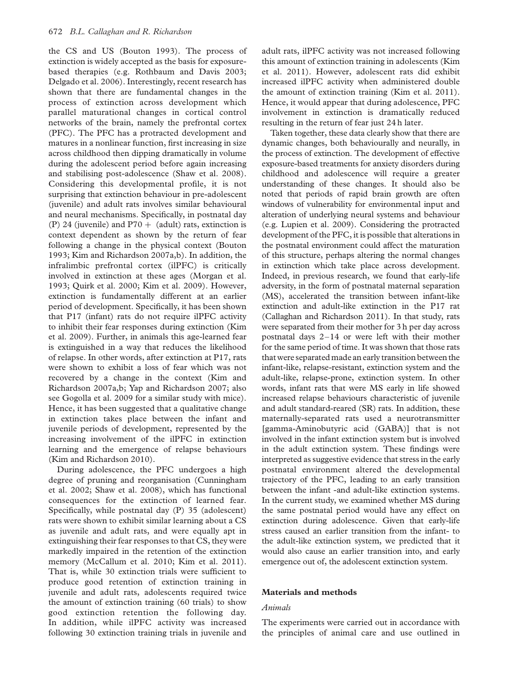the CS and US (Bouton 1993). The process of extinction is widely accepted as the basis for exposurebased therapies (e.g. Rothbaum and Davis 2003; Delgado et al. 2006). Interestingly, recent research has shown that there are fundamental changes in the process of extinction across development which parallel maturational changes in cortical control networks of the brain, namely the prefrontal cortex (PFC). The PFC has a protracted development and matures in a nonlinear function, first increasing in size across childhood then dipping dramatically in volume during the adolescent period before again increasing and stabilising post-adolescence (Shaw et al. 2008). Considering this developmental profile, it is not surprising that extinction behaviour in pre-adolescent (juvenile) and adult rats involves similar behavioural and neural mechanisms. Specifically, in postnatal day (P) 24 (juvenile) and  $P70 +$  (adult) rats, extinction is context dependent as shown by the return of fear following a change in the physical context (Bouton 1993; Kim and Richardson 2007a,b). In addition, the infralimbic prefrontal cortex (ilPFC) is critically involved in extinction at these ages (Morgan et al. 1993; Quirk et al. 2000; Kim et al. 2009). However, extinction is fundamentally different at an earlier period of development. Specifically, it has been shown that P17 (infant) rats do not require ilPFC activity to inhibit their fear responses during extinction (Kim et al. 2009). Further, in animals this age-learned fear is extinguished in a way that reduces the likelihood of relapse. In other words, after extinction at P17, rats were shown to exhibit a loss of fear which was not recovered by a change in the context (Kim and Richardson 2007a,b; Yap and Richardson 2007; also see Gogolla et al. 2009 for a similar study with mice). Hence, it has been suggested that a qualitative change in extinction takes place between the infant and juvenile periods of development, represented by the increasing involvement of the ilPFC in extinction learning and the emergence of relapse behaviours (Kim and Richardson 2010).

During adolescence, the PFC undergoes a high degree of pruning and reorganisation (Cunningham et al. 2002; Shaw et al. 2008), which has functional consequences for the extinction of learned fear. Specifically, while postnatal day (P) 35 (adolescent) rats were shown to exhibit similar learning about a CS as juvenile and adult rats, and were equally apt in extinguishing their fear responses to that CS, they were markedly impaired in the retention of the extinction memory (McCallum et al. 2010; Kim et al. 2011). That is, while 30 extinction trials were sufficient to produce good retention of extinction training in juvenile and adult rats, adolescents required twice the amount of extinction training (60 trials) to show good extinction retention the following day. In addition, while ilPFC activity was increased following 30 extinction training trials in juvenile and adult rats, ilPFC activity was not increased following this amount of extinction training in adolescents (Kim et al. 2011). However, adolescent rats did exhibit increased ilPFC activity when administered double the amount of extinction training (Kim et al. 2011). Hence, it would appear that during adolescence, PFC involvement in extinction is dramatically reduced resulting in the return of fear just 24 h later.

Taken together, these data clearly show that there are dynamic changes, both behaviourally and neurally, in the process of extinction. The development of effective exposure-based treatments for anxiety disorders during childhood and adolescence will require a greater understanding of these changes. It should also be noted that periods of rapid brain growth are often windows of vulnerability for environmental input and alteration of underlying neural systems and behaviour (e.g. Lupien et al. 2009). Considering the protracted development of the PFC, it is possible that alterations in the postnatal environment could affect the maturation of this structure, perhaps altering the normal changes in extinction which take place across development. Indeed, in previous research, we found that early-life adversity, in the form of postnatal maternal separation (MS), accelerated the transition between infant-like extinction and adult-like extinction in the P17 rat (Callaghan and Richardson 2011). In that study, rats were separated from their mother for 3 h per day across postnatal days 2–14 or were left with their mother for the same period of time. It was shown that those rats that were separated made an early transition between the infant-like, relapse-resistant, extinction system and the adult-like, relapse-prone, extinction system. In other words, infant rats that were MS early in life showed increased relapse behaviours characteristic of juvenile and adult standard-reared (SR) rats. In addition, these maternally-separated rats used a neurotransmitter [gamma-Aminobutyric acid (GABA)] that is not involved in the infant extinction system but is involved in the adult extinction system. These findings were interpreted as suggestive evidence that stress in the early postnatal environment altered the developmental trajectory of the PFC, leading to an early transition between the infant -and adult-like extinction systems. In the current study, we examined whether MS during the same postnatal period would have any effect on extinction during adolescence. Given that early-life stress caused an earlier transition from the infant- to the adult-like extinction system, we predicted that it would also cause an earlier transition into, and early emergence out of, the adolescent extinction system.

# Materials and methods

#### Animals

The experiments were carried out in accordance with the principles of animal care and use outlined in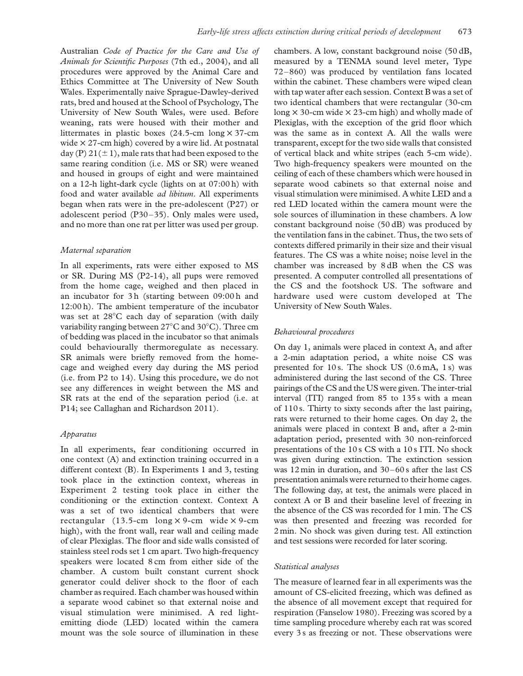Australian Code of Practice for the Care and Use of Animals for Scientific Purposes (7th ed., 2004), and all procedures were approved by the Animal Care and Ethics Committee at The University of New South Wales. Experimentally naive Sprague-Dawley-derived rats, bred and housed at the School of Psychology, The University of New South Wales, were used. Before weaning, rats were housed with their mother and littermates in plastic boxes  $(24.5 \text{-cm} \cdot \log \times 37 \text{-cm} \cdot$ wide  $\times$  27-cm high) covered by a wire lid. At postnatal day (P)  $21(\pm 1)$ , male rats that had been exposed to the same rearing condition (i.e. MS or SR) were weaned and housed in groups of eight and were maintained on a 12-h light-dark cycle (lights on at 07:00 h) with food and water available *ad libitum*. All experiments began when rats were in the pre-adolescent (P27) or adolescent period (P30-35). Only males were used, and no more than one rat per litter was used per group.

#### Maternal separation

In all experiments, rats were either exposed to MS or SR. During MS (P2-14), all pups were removed from the home cage, weighed and then placed in an incubator for 3 h (starting between 09:00 h and 12:00 h). The ambient temperature of the incubator was set at  $28^{\circ}$ C each day of separation (with daily variability ranging between  $27^{\circ}$ C and  $30^{\circ}$ C). Three cm of bedding was placed in the incubator so that animals could behaviourally thermoregulate as necessary. SR animals were briefly removed from the homecage and weighed every day during the MS period (i.e. from P2 to 14). Using this procedure, we do not see any differences in weight between the MS and SR rats at the end of the separation period (i.e. at P14; see Callaghan and Richardson 2011).

#### Apparatus

In all experiments, fear conditioning occurred in one context (A) and extinction training occurred in a different context (B). In Experiments 1 and 3, testing took place in the extinction context, whereas in Experiment 2 testing took place in either the conditioning or the extinction context. Context A was a set of two identical chambers that were rectangular  $(13.5-cm \text{ long} \times 9-cm \text{ wide} \times 9-cm$ high), with the front wall, rear wall and ceiling made of clear Plexiglas. The floor and side walls consisted of stainless steel rods set 1 cm apart. Two high-frequency speakers were located 8 cm from either side of the chamber. A custom built constant current shock generator could deliver shock to the floor of each chamber as required. Each chamber was housed within a separate wood cabinet so that external noise and visual stimulation were minimised. A red lightemitting diode (LED) located within the camera mount was the sole source of illumination in these chambers. A low, constant background noise (50 dB, measured by a TENMA sound level meter, Type 72 –860) was produced by ventilation fans located within the cabinet. These chambers were wiped clean with tap water after each session. Context B was a set of two identical chambers that were rectangular (30-cm long  $\times$  30-cm wide  $\times$  23-cm high) and wholly made of Plexiglas, with the exception of the grid floor which was the same as in context A. All the walls were transparent, except for the two side walls that consisted of vertical black and white stripes (each 5-cm wide). Two high-frequency speakers were mounted on the ceiling of each of these chambers which were housed in separate wood cabinets so that external noise and visual stimulation were minimised. A white LED and a red LED located within the camera mount were the sole sources of illumination in these chambers. A low constant background noise (50 dB) was produced by the ventilation fans in the cabinet. Thus, the two sets of contexts differed primarily in their size and their visual features. The CS was a white noise; noise level in the chamber was increased by 8 dB when the CS was presented. A computer controlled all presentations of the CS and the footshock US. The software and hardware used were custom developed at The University of New South Wales.

# Behavioural procedures

On day 1, animals were placed in context A, and after a 2-min adaptation period, a white noise CS was presented for  $10 s$ . The shock US  $(0.6 mA, 1 s)$  was administered during the last second of the CS. Three pairings of the CS and the US were given. The inter-trial interval (ITI) ranged from 85 to 135 s with a mean of 110 s. Thirty to sixty seconds after the last pairing, rats were returned to their home cages. On day 2, the animals were placed in context B and, after a 2-min adaptation period, presented with 30 non-reinforced presentations of the 10 s CS with a 10 s ITI. No shock was given during extinction. The extinction session was 12 min in duration, and 30–60 s after the last CS presentation animals were returned to their home cages. The following day, at test, the animals were placed in context A or B and their baseline level of freezing in the absence of the CS was recorded for 1 min. The CS was then presented and freezing was recorded for 2 min. No shock was given during test. All extinction and test sessions were recorded for later scoring.

#### Statistical analyses

The measure of learned fear in all experiments was the amount of CS-elicited freezing, which was defined as the absence of all movement except that required for respiration (Fanselow 1980). Freezing was scored by a time sampling procedure whereby each rat was scored every 3 s as freezing or not. These observations were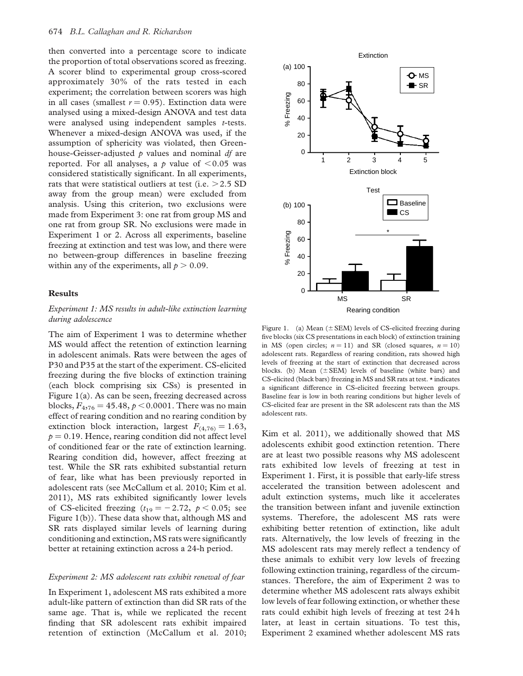then converted into a percentage score to indicate the proportion of total observations scored as freezing. A scorer blind to experimental group cross-scored approximately 30% of the rats tested in each experiment; the correlation between scorers was high in all cases (smallest  $r = 0.95$ ). Extinction data were analysed using a mixed-design ANOVA and test data were analysed using independent samples *t*-tests. Whenever a mixed-design ANOVA was used, if the assumption of sphericity was violated, then Greenhouse-Geisser-adjusted  $p$  values and nominal  $df$  are reported. For all analyses, a  $p$  value of  $< 0.05$  was considered statistically significant. In all experiments, rats that were statistical outliers at test (i.e.  $>2.5$  SD away from the group mean) were excluded from analysis. Using this criterion, two exclusions were made from Experiment 3: one rat from group MS and one rat from group SR. No exclusions were made in Experiment 1 or 2. Across all experiments, baseline freezing at extinction and test was low, and there were no between-group differences in baseline freezing within any of the experiments, all  $p > 0.09$ .

#### Results

# Experiment 1: MS results in adult-like extinction learning during adolescence

The aim of Experiment 1 was to determine whether MS would affect the retention of extinction learning in adolescent animals. Rats were between the ages of P30 and P35 at the start of the experiment. CS-elicited freezing during the five blocks of extinction training (each block comprising six CSs) is presented in Figure 1(a). As can be seen, freezing decreased across blocks,  $F_{4,76} = 45.48, p < 0.0001$ . There was no main effect of rearing condition and no rearing condition by extinction block interaction, largest  $F_{(4,76)} = 1.63$ ,  $p = 0.19$ . Hence, rearing condition did not affect level of conditioned fear or the rate of extinction learning. Rearing condition did, however, affect freezing at test. While the SR rats exhibited substantial return of fear, like what has been previously reported in adolescent rats (see McCallum et al. 2010; Kim et al. 2011), MS rats exhibited significantly lower levels of CS-elicited freezing  $(t_{19} = -2.72, p < 0.05;$  see Figure 1(b)). These data show that, although MS and SR rats displayed similar levels of learning during conditioning and extinction, MS rats were significantly better at retaining extinction across a 24-h period.

# Experiment 2: MS adolescent rats exhibit renewal of fear

In Experiment 1, adolescent MS rats exhibited a more adult-like pattern of extinction than did SR rats of the same age. That is, while we replicated the recent finding that SR adolescent rats exhibit impaired retention of extinction (McCallum et al. 2010;



Figure 1. (a) Mean  $(\pm$  SEM) levels of CS-elicited freezing during five blocks (six CS presentations in each block) of extinction training in MS (open circles;  $n = 11$ ) and SR (closed squares,  $n = 10$ ) adolescent rats. Regardless of rearing condition, rats showed high levels of freezing at the start of extinction that decreased across blocks. (b) Mean  $(\pm$  SEM) levels of baseline (white bars) and CS-elicited (black bars) freezing in MS and SR rats at test. \* indicates a significant difference in CS-elicited freezing between groups. Baseline fear is low in both rearing conditions but higher levels of CS-elicited fear are present in the SR adolescent rats than the MS adolescent rats.

Kim et al. 2011), we additionally showed that MS adolescents exhibit good extinction retention. There are at least two possible reasons why MS adolescent rats exhibited low levels of freezing at test in Experiment 1. First, it is possible that early-life stress accelerated the transition between adolescent and adult extinction systems, much like it accelerates the transition between infant and juvenile extinction systems. Therefore, the adolescent MS rats were exhibiting better retention of extinction, like adult rats. Alternatively, the low levels of freezing in the MS adolescent rats may merely reflect a tendency of these animals to exhibit very low levels of freezing following extinction training, regardless of the circumstances. Therefore, the aim of Experiment 2 was to determine whether MS adolescent rats always exhibit low levels of fear following extinction, or whether these rats could exhibit high levels of freezing at test 24 h later, at least in certain situations. To test this, Experiment 2 examined whether adolescent MS rats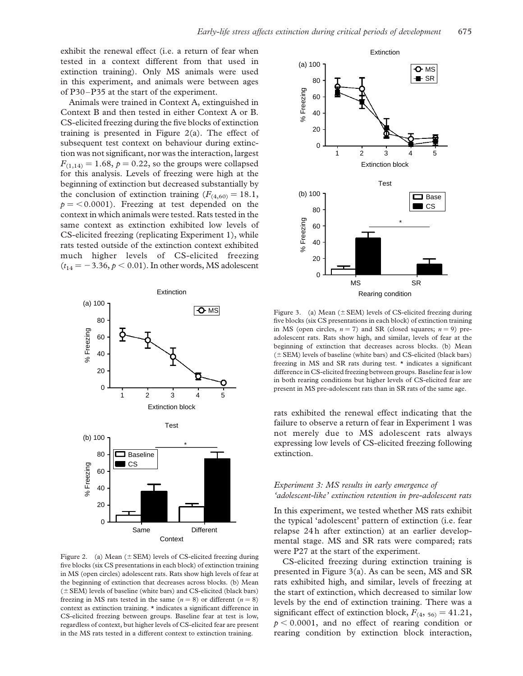exhibit the renewal effect (i.e. a return of fear when tested in a context different from that used in extinction training). Only MS animals were used in this experiment, and animals were between ages of P30 –P35 at the start of the experiment.

Animals were trained in Context A, extinguished in Context B and then tested in either Context A or B. CS-elicited freezing during the five blocks of extinction training is presented in Figure 2(a). The effect of subsequent test context on behaviour during extinction was not significant, nor was the interaction, largest  $F_{(1,14)} = 1.68$ ,  $p = 0.22$ , so the groups were collapsed for this analysis. Levels of freezing were high at the beginning of extinction but decreased substantially by the conclusion of extinction training  $(F_{(4,60)} = 18.1,$  $p = 0.0001$ . Freezing at test depended on the context in which animals were tested. Rats tested in the same context as extinction exhibited low levels of CS-elicited freezing (replicating Experiment 1), while rats tested outside of the extinction context exhibited much higher levels of CS-elicited freezing  $(t_{14} = -3.36, p < 0.01)$ . In other words, MS adolescent



Figure 2. (a) Mean  $(\pm$  SEM) levels of CS-elicited freezing during five blocks (six CS presentations in each block) of extinction training in MS (open circles) adolescent rats. Rats show high levels of fear at the beginning of extinction that decreases across blocks. (b) Mean  $(\pm$  SEM) levels of baseline (white bars) and CS-elicited (black bars) freezing in MS rats tested in the same  $(n = 8)$  or different  $(n = 8)$ context as extinction training. \* indicates a significant difference in CS-elicited freezing between groups. Baseline fear at test is low, regardless of context, but higher levels of CS-elicited fear are present in the MS rats tested in a different context to extinction training.



Figure 3. (a) Mean  $(\pm$  SEM) levels of CS-elicited freezing during five blocks (six CS presentations in each block) of extinction training in MS (open circles,  $n = 7$ ) and SR (closed squares;  $n = 9$ ) preadolescent rats. Rats show high, and similar, levels of fear at the beginning of extinction that decreases across blocks. (b) Mean  $(\pm$  SEM) levels of baseline (white bars) and CS-elicited (black bars) freezing in MS and SR rats during test.  $\star$  indicates a significant difference in CS-elicited freezing between groups. Baseline fear is low in both rearing conditions but higher levels of CS-elicited fear are present in MS pre-adolescent rats than in SR rats of the same age.

rats exhibited the renewal effect indicating that the failure to observe a return of fear in Experiment 1 was not merely due to MS adolescent rats always expressing low levels of CS-elicited freezing following extinction.

# Experiment 3: MS results in early emergence of 'adolescent-like' extinction retention in pre-adolescent rats

In this experiment, we tested whether MS rats exhibit the typical 'adolescent' pattern of extinction (i.e. fear relapse 24 h after extinction) at an earlier developmental stage. MS and SR rats were compared; rats were P27 at the start of the experiment.

CS-elicited freezing during extinction training is presented in Figure 3(a). As can be seen, MS and SR rats exhibited high, and similar, levels of freezing at the start of extinction, which decreased to similar low levels by the end of extinction training. There was a significant effect of extinction block,  $F_{(4, 56)} = 41.21$ ,  $p < 0.0001$ , and no effect of rearing condition or rearing condition by extinction block interaction,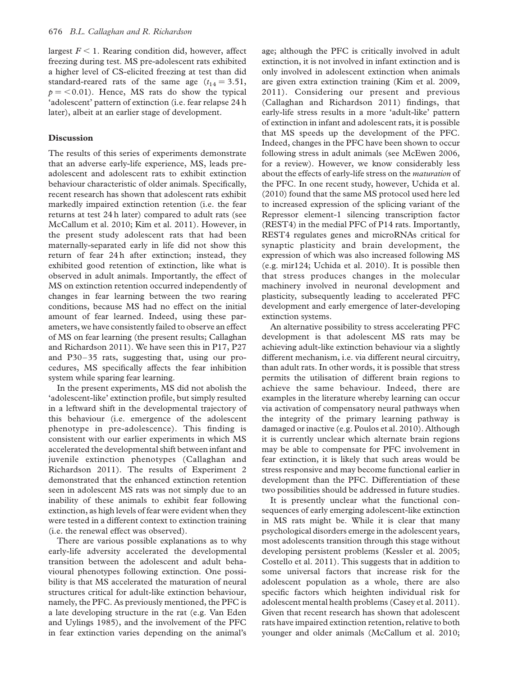largest  $F < 1$ . Rearing condition did, however, affect freezing during test. MS pre-adolescent rats exhibited a higher level of CS-elicited freezing at test than did standard-reared rats of the same age  $(t_{14} = 3.51,$  $p = 0.01$ . Hence, MS rats do show the typical 'adolescent' pattern of extinction (i.e. fear relapse 24 h later), albeit at an earlier stage of development.

# **Discussion**

The results of this series of experiments demonstrate that an adverse early-life experience, MS, leads preadolescent and adolescent rats to exhibit extinction behaviour characteristic of older animals. Specifically, recent research has shown that adolescent rats exhibit markedly impaired extinction retention (i.e. the fear returns at test 24 h later) compared to adult rats (see McCallum et al. 2010; Kim et al. 2011). However, in the present study adolescent rats that had been maternally-separated early in life did not show this return of fear 24 h after extinction; instead, they exhibited good retention of extinction, like what is observed in adult animals. Importantly, the effect of MS on extinction retention occurred independently of changes in fear learning between the two rearing conditions, because MS had no effect on the initial amount of fear learned. Indeed, using these parameters, we have consistently failed to observe an effect of MS on fear learning (the present results; Callaghan and Richardson 2011). We have seen this in P17, P27 and P30–35 rats, suggesting that, using our procedures, MS specifically affects the fear inhibition system while sparing fear learning.

In the present experiments, MS did not abolish the 'adolescent-like' extinction profile, but simply resulted in a leftward shift in the developmental trajectory of this behaviour (i.e. emergence of the adolescent phenotype in pre-adolescence). This finding is consistent with our earlier experiments in which MS accelerated the developmental shift between infant and juvenile extinction phenotypes (Callaghan and Richardson 2011). The results of Experiment 2 demonstrated that the enhanced extinction retention seen in adolescent MS rats was not simply due to an inability of these animals to exhibit fear following extinction, as high levels of fear were evident when they were tested in a different context to extinction training (i.e. the renewal effect was observed).

There are various possible explanations as to why early-life adversity accelerated the developmental transition between the adolescent and adult behavioural phenotypes following extinction. One possibility is that MS accelerated the maturation of neural structures critical for adult-like extinction behaviour, namely, the PFC. As previously mentioned, the PFC is a late developing structure in the rat (e.g. Van Eden and Uylings 1985), and the involvement of the PFC in fear extinction varies depending on the animal's age; although the PFC is critically involved in adult extinction, it is not involved in infant extinction and is only involved in adolescent extinction when animals are given extra extinction training (Kim et al. 2009, 2011). Considering our present and previous (Callaghan and Richardson 2011) findings, that early-life stress results in a more 'adult-like' pattern of extinction in infant and adolescent rats, it is possible that MS speeds up the development of the PFC. Indeed, changes in the PFC have been shown to occur following stress in adult animals (see McEwen 2006, for a review). However, we know considerably less about the effects of early-life stress on the maturation of the PFC. In one recent study, however, Uchida et al. (2010) found that the same MS protocol used here led to increased expression of the splicing variant of the Repressor element-1 silencing transcription factor (REST4) in the medial PFC of P14 rats. Importantly, REST4 regulates genes and microRNAs critical for synaptic plasticity and brain development, the expression of which was also increased following MS (e.g. mir124; Uchida et al. 2010). It is possible then that stress produces changes in the molecular machinery involved in neuronal development and plasticity, subsequently leading to accelerated PFC development and early emergence of later-developing extinction systems.

An alternative possibility to stress accelerating PFC development is that adolescent MS rats may be achieving adult-like extinction behaviour via a slightly different mechanism, i.e. via different neural circuitry, than adult rats. In other words, it is possible that stress permits the utilisation of different brain regions to achieve the same behaviour. Indeed, there are examples in the literature whereby learning can occur via activation of compensatory neural pathways when the integrity of the primary learning pathway is damaged or inactive (e.g. Poulos et al. 2010). Although it is currently unclear which alternate brain regions may be able to compensate for PFC involvement in fear extinction, it is likely that such areas would be stress responsive and may become functional earlier in development than the PFC. Differentiation of these two possibilities should be addressed in future studies.

It is presently unclear what the functional consequences of early emerging adolescent-like extinction in MS rats might be. While it is clear that many psychological disorders emerge in the adolescent years, most adolescents transition through this stage without developing persistent problems (Kessler et al. 2005; Costello et al. 2011). This suggests that in addition to some universal factors that increase risk for the adolescent population as a whole, there are also specific factors which heighten individual risk for adolescent mental health problems (Casey et al. 2011). Given that recent research has shown that adolescent rats have impaired extinction retention, relative to both younger and older animals (McCallum et al. 2010;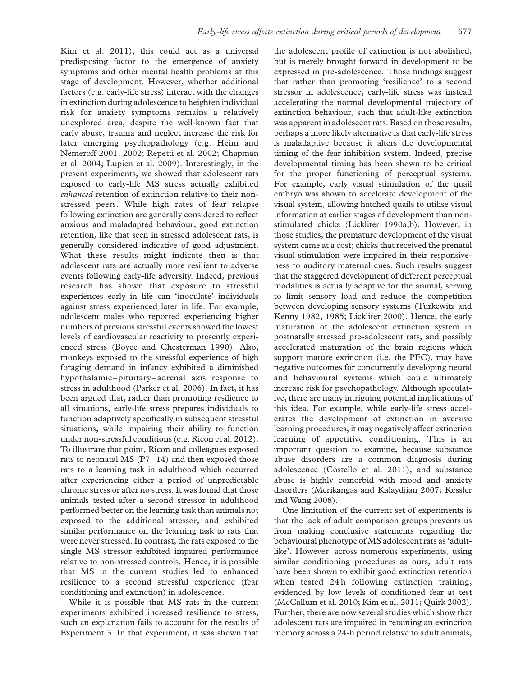Kim et al. 2011), this could act as a universal predisposing factor to the emergence of anxiety symptoms and other mental health problems at this stage of development. However, whether additional factors (e.g. early-life stress) interact with the changes in extinction during adolescence to heighten individual risk for anxiety symptoms remains a relatively unexplored area, despite the well-known fact that early abuse, trauma and neglect increase the risk for later emerging psychopathology (e.g. Heim and Nemeroff 2001, 2002; Repetti et al. 2002; Chapman et al. 2004; Lupien et al. 2009). Interestingly, in the present experiments, we showed that adolescent rats exposed to early-life MS stress actually exhibited enhanced retention of extinction relative to their nonstressed peers. While high rates of fear relapse following extinction are generally considered to reflect anxious and maladapted behaviour, good extinction retention, like that seen in stressed adolescent rats, is generally considered indicative of good adjustment. What these results might indicate then is that adolescent rats are actually more resilient to adverse events following early-life adversity. Indeed, previous research has shown that exposure to stressful experiences early in life can 'inoculate' individuals against stress experienced later in life. For example, adolescent males who reported experiencing higher numbers of previous stressful events showed the lowest levels of cardiovascular reactivity to presently experienced stress (Boyce and Chesterman 1990). Also, monkeys exposed to the stressful experience of high foraging demand in infancy exhibited a diminished hypothalamic – pituitary –adrenal axis response to stress in adulthood (Parker et al. 2006). In fact, it has been argued that, rather than promoting resilience to all situations, early-life stress prepares individuals to function adaptively specifically in subsequent stressful situations, while impairing their ability to function under non-stressful conditions (e.g. Ricon et al. 2012). To illustrate that point, Ricon and colleagues exposed rats to neonatal MS  $(P7-14)$  and then exposed those rats to a learning task in adulthood which occurred after experiencing either a period of unpredictable chronic stress or after no stress. It was found that those animals tested after a second stressor in adulthood performed better on the learning task than animals not exposed to the additional stressor, and exhibited similar performance on the learning task to rats that were never stressed. In contrast, the rats exposed to the single MS stressor exhibited impaired performance relative to non-stressed controls. Hence, it is possible that MS in the current studies led to enhanced resilience to a second stressful experience (fear conditioning and extinction) in adolescence.

While it is possible that MS rats in the current experiments exhibited increased resilience to stress, such an explanation fails to account for the results of Experiment 3. In that experiment, it was shown that the adolescent profile of extinction is not abolished, but is merely brought forward in development to be expressed in pre-adolescence. Those findings suggest that rather than promoting 'resilience' to a second stressor in adolescence, early-life stress was instead accelerating the normal developmental trajectory of extinction behaviour, such that adult-like extinction was apparent in adolescent rats. Based on those results, perhaps a more likely alternative is that early-life stress is maladaptive because it alters the developmental timing of the fear inhibition system. Indeed, precise developmental timing has been shown to be critical for the proper functioning of perceptual systems. For example, early visual stimulation of the quail embryo was shown to accelerate development of the visual system, allowing hatched quails to utilise visual information at earlier stages of development than nonstimulated chicks (Lickliter 1990a,b). However, in those studies, the premature development of the visual system came at a cost; chicks that received the prenatal visual stimulation were impaired in their responsiveness to auditory maternal cues. Such results suggest that the staggered development of different perceptual modalities is actually adaptive for the animal, serving to limit sensory load and reduce the competition between developing sensory systems (Turkewitz and Kenny 1982, 1985; Lickliter 2000). Hence, the early maturation of the adolescent extinction system in postnatally stressed pre-adolescent rats, and possibly accelerated maturation of the brain regions which support mature extinction (i.e. the PFC), may have negative outcomes for concurrently developing neural and behavioural systems which could ultimately increase risk for psychopathology. Although speculative, there are many intriguing potential implications of this idea. For example, while early-life stress accelerates the development of extinction in aversive learning procedures, it may negatively affect extinction learning of appetitive conditioning. This is an important question to examine, because substance abuse disorders are a common diagnosis during adolescence (Costello et al. 2011), and substance abuse is highly comorbid with mood and anxiety disorders (Merikangas and Kalaydjian 2007; Kessler and Wang 2008).

One limitation of the current set of experiments is that the lack of adult comparison groups prevents us from making conclusive statements regarding the behavioural phenotype of MS adolescent rats as 'adultlike'. However, across numerous experiments, using similar conditioning procedures as ours, adult rats have been shown to exhibit good extinction retention when tested 24h following extinction training, evidenced by low levels of conditioned fear at test (McCallum et al. 2010; Kim et al. 2011; Quirk 2002). Further, there are now several studies which show that adolescent rats are impaired in retaining an extinction memory across a 24-h period relative to adult animals,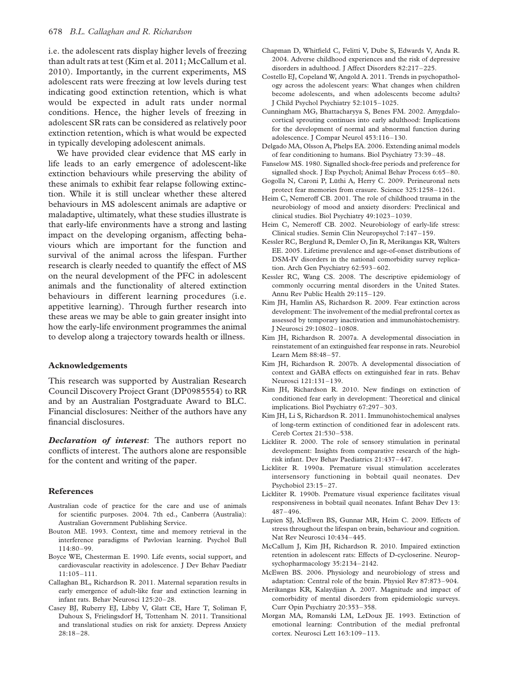i.e. the adolescent rats display higher levels of freezing than adult rats at test (Kim et al. 2011; McCallum et al. 2010). Importantly, in the current experiments, MS adolescent rats were freezing at low levels during test indicating good extinction retention, which is what would be expected in adult rats under normal conditions. Hence, the higher levels of freezing in adolescent SR rats can be considered as relatively poor extinction retention, which is what would be expected in typically developing adolescent animals.

We have provided clear evidence that MS early in life leads to an early emergence of adolescent-like extinction behaviours while preserving the ability of these animals to exhibit fear relapse following extinction. While it is still unclear whether these altered behaviours in MS adolescent animals are adaptive or maladaptive, ultimately, what these studies illustrate is that early-life environments have a strong and lasting impact on the developing organism, affecting behaviours which are important for the function and survival of the animal across the lifespan. Further research is clearly needed to quantify the effect of MS on the neural development of the PFC in adolescent animals and the functionality of altered extinction behaviours in different learning procedures (i.e. appetitive learning). Through further research into these areas we may be able to gain greater insight into how the early-life environment programmes the animal to develop along a trajectory towards health or illness.

#### Acknowledgements

This research was supported by Australian Research Council Discovery Project Grant (DP0985554) to RR and by an Australian Postgraduate Award to BLC. Financial disclosures: Neither of the authors have any financial disclosures.

Declaration of interest: The authors report no conflicts of interest. The authors alone are responsible for the content and writing of the paper.

#### References

- Australian code of practice for the care and use of animals for scientific purposes. 2004. 7th ed., Canberra (Australia): Australian Government Publishing Service.
- Bouton ME. 1993. Context, time and memory retrieval in the interference paradigms of Pavlovian learning. Psychol Bull  $114.80 - 99$
- Boyce WE, Chesterman E. 1990. Life events, social support, and cardiovascular reactivity in adolescence. J Dev Behav Paediatr 11:105–111.
- Callaghan BL, Richardson R. 2011. Maternal separation results in early emergence of adult-like fear and extinction learning in infant rats. Behav Neurosci 125:20–28.
- Casey BJ, Ruberry EJ, Libby V, Glatt CE, Hare T, Soliman F, Duhoux S, Frielingsdorf H, Tottenham N. 2011. Transitional and translational studies on risk for anxiety. Depress Anxiety 28:18–28.
- Chapman D, Whitfield C, Felitti V, Dube S, Edwards V, Anda R. 2004. Adverse childhood experiences and the risk of depressive disorders in adulthood. I Affect Disorders 82:217-225.
- Costello EJ, Copeland W, Angold A. 2011. Trends in psychopathology across the adolescent years: What changes when children become adolescents, and when adolescents become adults? J Child Psychol Psychiatry 52:1015–1025.
- Cunningham MG, Bhattacharyya S, Benes FM. 2002. Amygdalocortical sprouting continues into early adulthood: Implications for the development of normal and abnormal function during adolescence. J Compar Neurol 453:116–130.
- Delgado MA, Olsson A, Phelps EA. 2006. Extending animal models of fear conditioning to humans. Biol Psychiatry 73:39–48.
- Fanselow MS. 1980. Signalled shock-free periods and preference for signalled shock. J Exp Psychol; Animal Behav Process 6:65–80.
- Gogolla N, Caroni P, Lüthi A, Herry C. 2009. Perineuronal nets protect fear memories from erasure. Science 325:1258–1261.
- Heim C, Nemeroff CB. 2001. The role of childhood trauma in the neurobiology of mood and anxiety disorders: Preclinical and clinical studies. Biol Psychiatry 49:1023–1039.
- Heim C, Nemeroff CB. 2002. Neurobiology of early-life stress: Clinical studies. Semin Clin Neuropsychol 7:147–159.
- Kessler RC, Berglund R, Demler O, Jin R, Merikangas KR, Walters EE. 2005. Lifetime prevalence and age-of-onset distributions of DSM-IV disorders in the national comorbidity survey replication. Arch Gen Psychiatry 62:593–602.
- Kessler RC, Wang CS. 2008. The descriptive epidemiology of commonly occurring mental disorders in the United States. Annu Rev Public Health 29:115–129.
- Kim JH, Hamlin AS, Richardson R. 2009. Fear extinction across development: The involvement of the medial prefrontal cortex as assessed by temporary inactivation and immunohistochemistry. J Neurosci 29:10802–10808.
- Kim JH, Richardson R. 2007a. A developmental dissociation in reinstatement of an extinguished fear response in rats. Neurobiol Learn Mem 88:48–57.
- Kim JH, Richardson R. 2007b. A developmental dissociation of context and GABA effects on extinguished fear in rats. Behav Neurosci 121:131 –139.
- Kim JH, Richardson R. 2010. New findings on extinction of conditioned fear early in development: Theoretical and clinical implications. Biol Psychiatry 67:297–303.
- Kim JH, Li S, Richardson R. 2011. Immunohistochemical analyses of long-term extinction of conditioned fear in adolescent rats. Cereb Cortex 21:530–538.
- Lickliter R. 2000. The role of sensory stimulation in perinatal development: Insights from comparative research of the highrisk infant. Dev Behav Paediatrics 21:437–447.
- Lickliter R. 1990a. Premature visual stimulation accelerates intersensory functioning in bobtail quail neonates. Dev Psychobiol 23:15–27.
- Lickliter R. 1990b. Premature visual experience facilitates visual responsiveness in bobtail quail neonates. Infant Behav Dev 13: 487 –496.
- Lupien SJ, McEwen BS, Gunnar MR, Heim C. 2009. Effects of stress throughout the lifespan on brain, behaviour and cognition. Nat Rev Neurosci 10:434–445.
- McCallum J, Kim JH, Richardson R. 2010. Impaired extinction retention in adolescent rats: Effects of D-cycloserine. Neuropsychopharmacology 35:2134–2142.
- McEwen BS. 2006. Physiology and neurobiology of stress and adaptation: Central role of the brain. Physiol Rev 87:873–904.
- Merikangas KR, Kalaydjian A. 2007. Magnitude and impact of comorbidity of mental disorders from epidemiologic surveys. Curr Opin Psychiatry 20:353–358.
- Morgan MA, Romanski LM, LeDoux JE. 1993. Extinction of emotional learning: Contribution of the medial prefrontal cortex. Neurosci Lett 163:109–113.